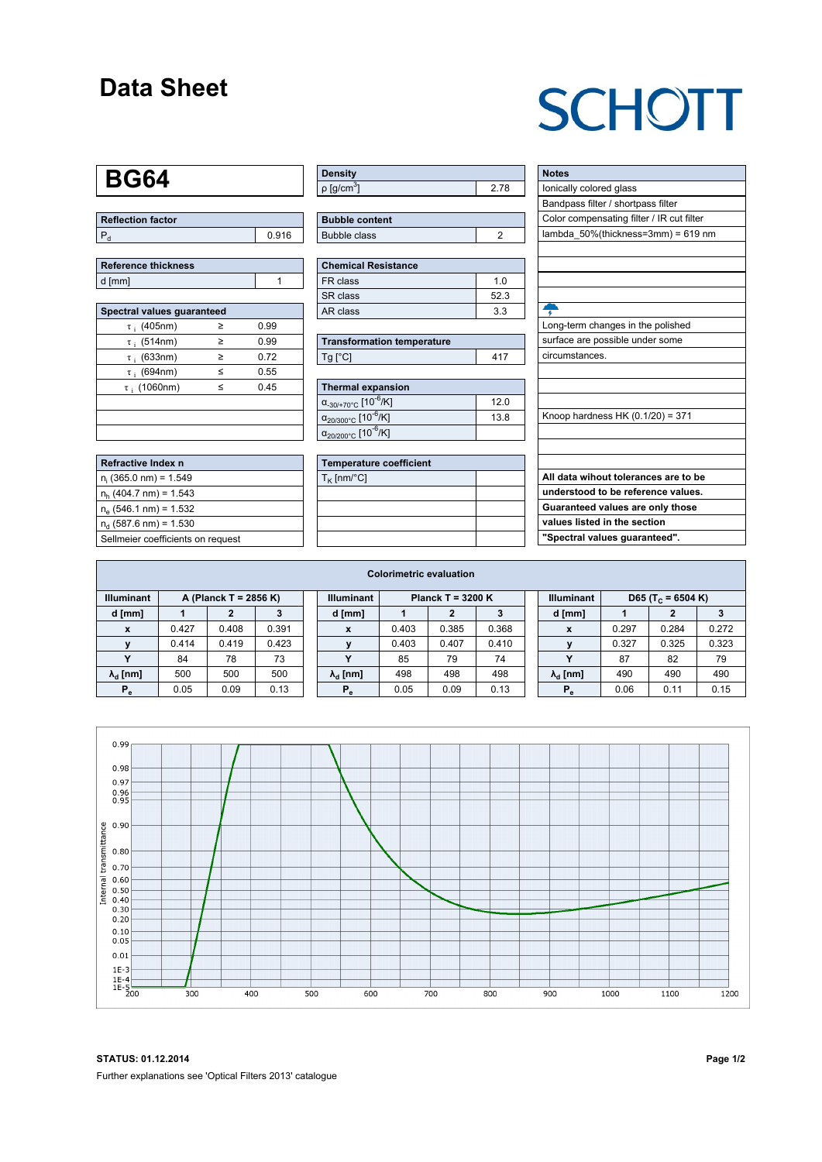### **Data Sheet**

## **SCHOTT**

### **BG64**

| Reflection factor |       |  |
|-------------------|-------|--|
| l P               | 0.916 |  |

| Reference thickness |  |
|---------------------|--|
| d [mm]              |  |

| Spectral values guaranteed |   |      |  |  |  |  |  |  |  |
|----------------------------|---|------|--|--|--|--|--|--|--|
| $\tau$ ; (405nm)           | ≥ | 0.99 |  |  |  |  |  |  |  |
| $\tau$ ; (514nm)           | ≥ | 0.99 |  |  |  |  |  |  |  |
| $\tau$ ; (633nm)           | ≥ | 0.72 |  |  |  |  |  |  |  |
| $\tau$ ; (694nm)           | ≤ | 0.55 |  |  |  |  |  |  |  |
| $\tau$ (1060nm)            | < | 0.45 |  |  |  |  |  |  |  |
|                            |   |      |  |  |  |  |  |  |  |
|                            |   |      |  |  |  |  |  |  |  |
|                            |   |      |  |  |  |  |  |  |  |

| Refractive Index n                |
|-----------------------------------|
| $n_i$ (365.0 nm) = 1.549          |
| $n_h$ (404.7 nm) = 1.543          |
| $n_e$ (546.1 nm) = 1.532          |
| $n_a$ (587.6 nm) = 1.530          |
| Sellmeier coefficients on request |

| Density                    |      |
|----------------------------|------|
| $ p $ [g/cm <sup>3</sup> ] | 2.78 |

| <b>Bubble content</b> |  |
|-----------------------|--|
| Bubble class          |  |
|                       |  |

| Chemical Resistance |     |  |  |  |  |  |  |
|---------------------|-----|--|--|--|--|--|--|
| FR class            | 1 N |  |  |  |  |  |  |
| l SR class          | 523 |  |  |  |  |  |  |
| l AR class          | 33  |  |  |  |  |  |  |

| <b>Transformation temperature</b> |     |
|-----------------------------------|-----|
| $Tg$ $C$                          | 417 |

| Thermal expansion                                 |      |
|---------------------------------------------------|------|
| $\alpha_{-30/+70\degree}$ c [10 <sup>-6</sup> /K] | 12.0 |
| $\alpha_{20/300^{\circ}C}$ [10 <sup>-6</sup> /K]  | 13.8 |
| $\alpha_{20/200^{\circ}C}$ [10 $\overline{6}$ /K] |      |

| <b>Temperature coefficient</b> |  |
|--------------------------------|--|
| $T_K$ [nm/°C]                  |  |
|                                |  |
|                                |  |
|                                |  |
|                                |  |

| <b>Notes</b>                              |
|-------------------------------------------|
| lonically colored glass                   |
| Bandpass filter / shortpass filter        |
| Color compensating filter / IR cut filter |
| lambda 50%(thickness=3mm) = 619 nm        |
|                                           |
|                                           |
|                                           |
|                                           |
| ÷                                         |
| Long-term changes in the polished         |
| surface are possible under some           |
| circumstances.                            |
|                                           |
|                                           |
|                                           |
| Knoop hardness HK (0.1/20) = 371          |
|                                           |
|                                           |
|                                           |
| All data wihout tolerances are to be      |
| understood to be reference values.        |
| Guaranteed values are only those          |
| values listed in the section              |
| "Spectral values quaranteed".             |
|                                           |

| <b>Colorimetric evaluation</b>             |       |       |       |                                          |                        |       |       |       |                                                    |                        |       |       |       |
|--------------------------------------------|-------|-------|-------|------------------------------------------|------------------------|-------|-------|-------|----------------------------------------------------|------------------------|-------|-------|-------|
| <b>Illuminant</b><br>A (Planck T = 2856 K) |       |       |       | <b>Illuminant</b><br>Planck T = $3200 K$ |                        |       |       |       | <b>Illuminant</b><br>D65 (T <sub>c</sub> = 6504 K) |                        |       |       |       |
| d [mm]                                     |       |       |       |                                          | d [mm]                 |       |       |       |                                                    | d [mm]                 |       |       |       |
|                                            | 0.427 | 0.408 | 0.391 |                                          | X                      | 0.403 | 0.385 | 0.368 |                                                    | X                      | 0.297 | 0.284 | 0.272 |
|                                            | 0.414 | 0.419 | 0.423 |                                          |                        | 0.403 | 0.407 | 0.410 |                                                    |                        | 0.327 | 0.325 | 0.323 |
|                                            | 84    | 78    | 73    |                                          |                        | 85    | 79    | 74    |                                                    | v                      | 87    | 82    | 79    |
| $\lambda_{\rm d}$ [nm]                     | 500   | 500   | 500   |                                          | $\lambda_{\rm d}$ [nm] | 498   | 498   | 498   |                                                    | $\lambda_{\rm d}$ [nm] | 490   | 490   | 490   |
| $P_e$                                      | 0.05  | 0.09  | 0.13  |                                          | $P_e$                  | 0.05  | 0.09  | 0.13  |                                                    | $P_e$                  | 0.06  | 0.11  | 0.15  |
|                                            |       |       |       |                                          |                        |       |       |       |                                                    |                        |       |       |       |



**STATUS: 01.12.2014 Page 1/2** Further explanations see 'Optical Filters 2013' catalogue